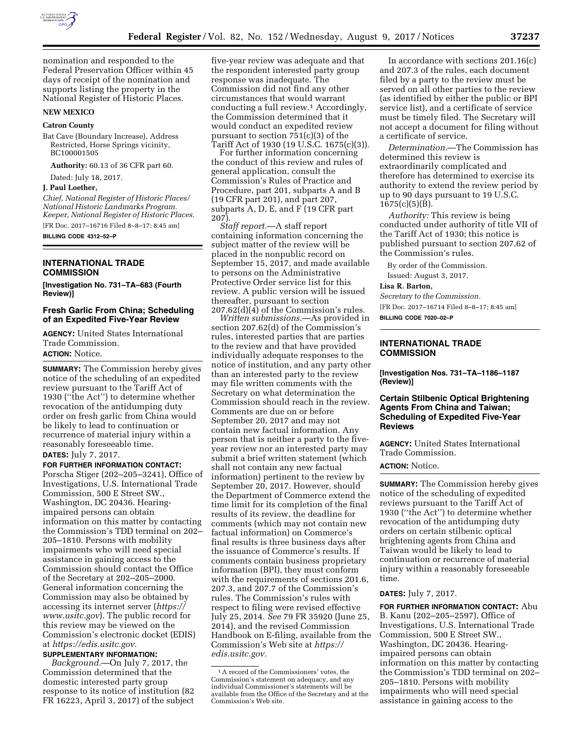

nomination and responded to the Federal Preservation Officer within 45 days of receipt of the nomination and supports listing the property in the National Register of Historic Places.

#### **NEW MEXICO**

#### **Catron County**

Bat Cave (Boundary Increase), Address Restricted, Horse Springs vicinity, BC100001505

**Authority:** 60.13 of 36 CFR part 60.

Dated: July 18, 2017.

## **J. Paul Loether,**

*Chief, National Register of Historic Places/ National Historic Landmarks Program. Keeper, National Register of Historic Places.*  [FR Doc. 2017–16716 Filed 8–8–17; 8:45 am] **BILLING CODE 4312–52–P** 

#### **INTERNATIONAL TRADE COMMISSION**

**[Investigation No. 731–TA–683 (Fourth Review)]** 

#### **Fresh Garlic From China; Scheduling of an Expedited Five-Year Review**

**AGENCY:** United States International Trade Commission. **ACTION:** Notice.

**SUMMARY:** The Commission hereby gives notice of the scheduling of an expedited review pursuant to the Tariff Act of 1930 (''the Act'') to determine whether revocation of the antidumping duty order on fresh garlic from China would be likely to lead to continuation or recurrence of material injury within a reasonably foreseeable time. **DATES:** July 7, 2017.

# **FOR FURTHER INFORMATION CONTACT:**

Porscha Stiger (202–205–3241), Office of Investigations, U.S. International Trade Commission, 500 E Street SW., Washington, DC 20436. Hearingimpaired persons can obtain information on this matter by contacting the Commission's TDD terminal on 202– 205–1810. Persons with mobility impairments who will need special assistance in gaining access to the Commission should contact the Office of the Secretary at 202–205–2000. General information concerning the Commission may also be obtained by accessing its internet server (*[https://](https://www.usitc.gov) [www.usitc.gov](https://www.usitc.gov)*). The public record for this review may be viewed on the Commission's electronic docket (EDIS) at *[https://edis.usitc.gov.](https://edis.usitc.gov)* 

# **SUPPLEMENTARY INFORMATION:**

*Background.*—On July 7, 2017, the Commission determined that the domestic interested party group response to its notice of institution (82 FR 16223, April 3, 2017) of the subject

five-year review was adequate and that the respondent interested party group response was inadequate. The Commission did not find any other circumstances that would warrant conducting a full review.1 Accordingly, the Commission determined that it would conduct an expedited review pursuant to section  $\overline{751(c)}(3)$  of the Tariff Act of 1930 (19 U.S.C. 1675(c)(3)).

For further information concerning the conduct of this review and rules of general application, consult the Commission's Rules of Practice and Procedure, part 201, subparts A and B (19 CFR part 201), and part 207, subparts A, D, E, and F (19 CFR part 207).

*Staff report.*—A staff report containing information concerning the subject matter of the review will be placed in the nonpublic record on September 15, 2017, and made available to persons on the Administrative Protective Order service list for this review. A public version will be issued thereafter, pursuant to section  $207.62(d)(4)$  of the Commission's rules.

*Written submissions.*—As provided in section 207.62(d) of the Commission's rules, interested parties that are parties to the review and that have provided individually adequate responses to the notice of institution, and any party other than an interested party to the review may file written comments with the Secretary on what determination the Commission should reach in the review. Comments are due on or before September 20, 2017 and may not contain new factual information. Any person that is neither a party to the fiveyear review nor an interested party may submit a brief written statement (which shall not contain any new factual information) pertinent to the review by September 20, 2017. However, should the Department of Commerce extend the time limit for its completion of the final results of its review, the deadline for comments (which may not contain new factual information) on Commerce's final results is three business days after the issuance of Commerce's results. If comments contain business proprietary information (BPI), they must conform with the requirements of sections 201.6, 207.3, and 207.7 of the Commission's rules. The Commission's rules with respect to filing were revised effective July 25, 2014. *See* 79 FR 35920 (June 25, 2014), and the revised Commission Handbook on E-filing, available from the Commission's Web site at *[https://](https://edis.usitc.gov) [edis.usitc.gov.](https://edis.usitc.gov)* 

In accordance with sections 201.16(c) and 207.3 of the rules, each document filed by a party to the review must be served on all other parties to the review (as identified by either the public or BPI service list), and a certificate of service must be timely filed. The Secretary will not accept a document for filing without a certificate of service.

*Determination.*—The Commission has determined this review is extraordinarily complicated and therefore has determined to exercise its authority to extend the review period by up to 90 days pursuant to 19 U.S.C.  $1675(c)(5)(B)$ .

*Authority:* This review is being conducted under authority of title VII of the Tariff Act of 1930; this notice is published pursuant to section 207.62 of the Commission's rules.

By order of the Commission. Issued: August 3, 2017.

#### **Lisa R. Barton,**

*Secretary to the Commission.*  [FR Doc. 2017–16714 Filed 8–8–17; 8:45 am] **BILLING CODE 7020–02–P** 

#### **INTERNATIONAL TRADE COMMISSION**

**[Investigation Nos. 731–TA–1186–1187 (Review)]** 

### **Certain Stilbenic Optical Brightening Agents From China and Taiwan; Scheduling of Expedited Five-Year Reviews**

**AGENCY:** United States International Trade Commission.

#### **ACTION:** Notice.

**SUMMARY:** The Commission hereby gives notice of the scheduling of expedited reviews pursuant to the Tariff Act of 1930 (''the Act'') to determine whether revocation of the antidumping duty orders on certain stilbenic optical brightening agents from China and Taiwan would be likely to lead to continuation or recurrence of material injury within a reasonably foreseeable time.

#### **DATES:** July 7, 2017.

**FOR FURTHER INFORMATION CONTACT:** Abu B. Kanu (202–205–2597), Office of Investigations, U.S. International Trade Commission, 500 E Street SW., Washington, DC 20436. Hearingimpaired persons can obtain information on this matter by contacting the Commission's TDD terminal on 202– 205–1810. Persons with mobility impairments who will need special assistance in gaining access to the

<sup>1</sup>A record of the Commissioners' votes, the Commission's statement on adequacy, and any individual Commissioner's statements will be available from the Office of the Secretary and at the Commission's Web site.